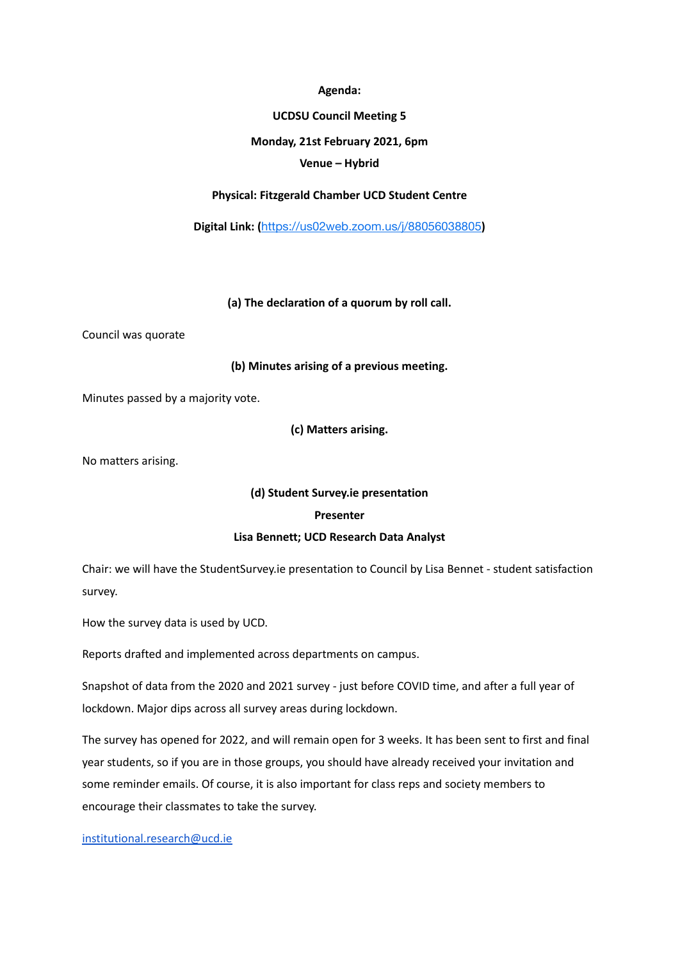#### **Agenda:**

### **UCDSU Council Meeting 5**

### **Monday, 21st February 2021, 6pm**

## **Venue – Hybrid**

## **Physical: Fitzgerald Chamber UCD Student Centre**

**Digital Link: (**<https://us02web.zoom.us/j/88056038805>**)**

**(a) The declaration of a quorum by roll call.**

Council was quorate

### **(b) Minutes arising of a previous meeting.**

Minutes passed by a majority vote.

**(c) Matters arising.**

No matters arising.

# **(d) Student Survey.ie presentation**

### **Presenter**

### **Lisa Bennett; UCD Research Data Analyst**

Chair: we will have the StudentSurvey.ie presentation to Council by Lisa Bennet - student satisfaction survey.

How the survey data is used by UCD.

Reports drafted and implemented across departments on campus.

Snapshot of data from the 2020 and 2021 survey - just before COVID time, and after a full year of lockdown. Major dips across all survey areas during lockdown.

The survey has opened for 2022, and will remain open for 3 weeks. It has been sent to first and final year students, so if you are in those groups, you should have already received your invitation and some reminder emails. Of course, it is also important for class reps and society members to encourage their classmates to take the survey.

## [institutional.research@ucd.ie](mailto:institutional.research@ucd.ie)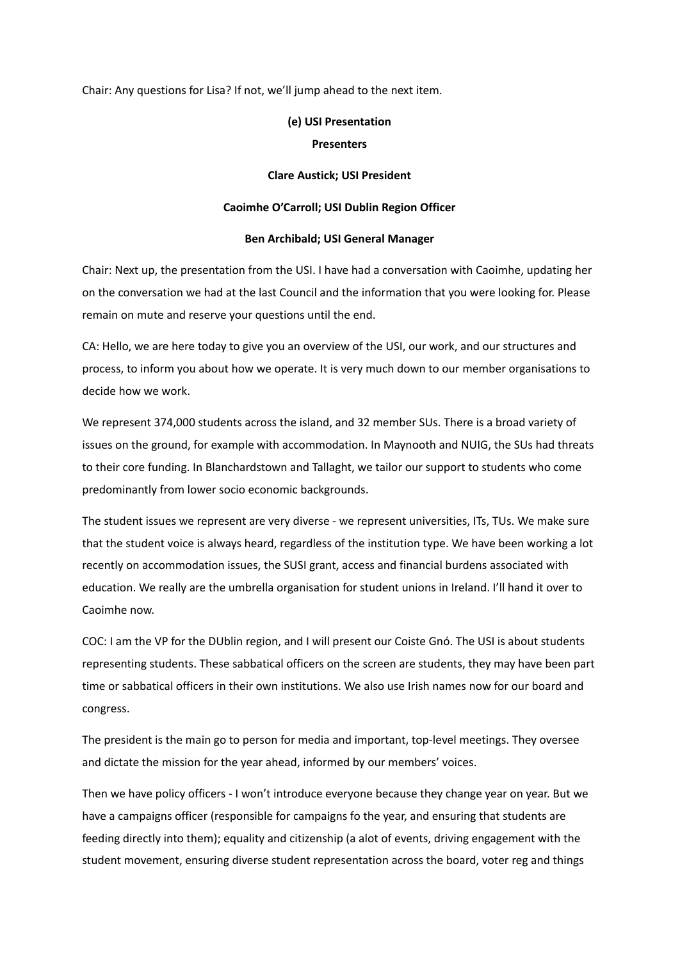Chair: Any questions for Lisa? If not, we'll jump ahead to the next item.

### **(e) USI Presentation**

#### **Presenters**

#### **Clare Austick; USI President**

#### **Caoimhe O'Carroll; USI Dublin Region Officer**

#### **Ben Archibald; USI General Manager**

Chair: Next up, the presentation from the USI. I have had a conversation with Caoimhe, updating her on the conversation we had at the last Council and the information that you were looking for. Please remain on mute and reserve your questions until the end.

CA: Hello, we are here today to give you an overview of the USI, our work, and our structures and process, to inform you about how we operate. It is very much down to our member organisations to decide how we work.

We represent 374,000 students across the island, and 32 member SUs. There is a broad variety of issues on the ground, for example with accommodation. In Maynooth and NUIG, the SUs had threats to their core funding. In Blanchardstown and Tallaght, we tailor our support to students who come predominantly from lower socio economic backgrounds.

The student issues we represent are very diverse - we represent universities, ITs, TUs. We make sure that the student voice is always heard, regardless of the institution type. We have been working a lot recently on accommodation issues, the SUSI grant, access and financial burdens associated with education. We really are the umbrella organisation for student unions in Ireland. I'll hand it over to Caoimhe now.

COC: I am the VP for the DUblin region, and I will present our Coiste Gnó. The USI is about students representing students. These sabbatical officers on the screen are students, they may have been part time or sabbatical officers in their own institutions. We also use Irish names now for our board and congress.

The president is the main go to person for media and important, top-level meetings. They oversee and dictate the mission for the year ahead, informed by our members' voices.

Then we have policy officers - I won't introduce everyone because they change year on year. But we have a campaigns officer (responsible for campaigns fo the year, and ensuring that students are feeding directly into them); equality and citizenship (a alot of events, driving engagement with the student movement, ensuring diverse student representation across the board, voter reg and things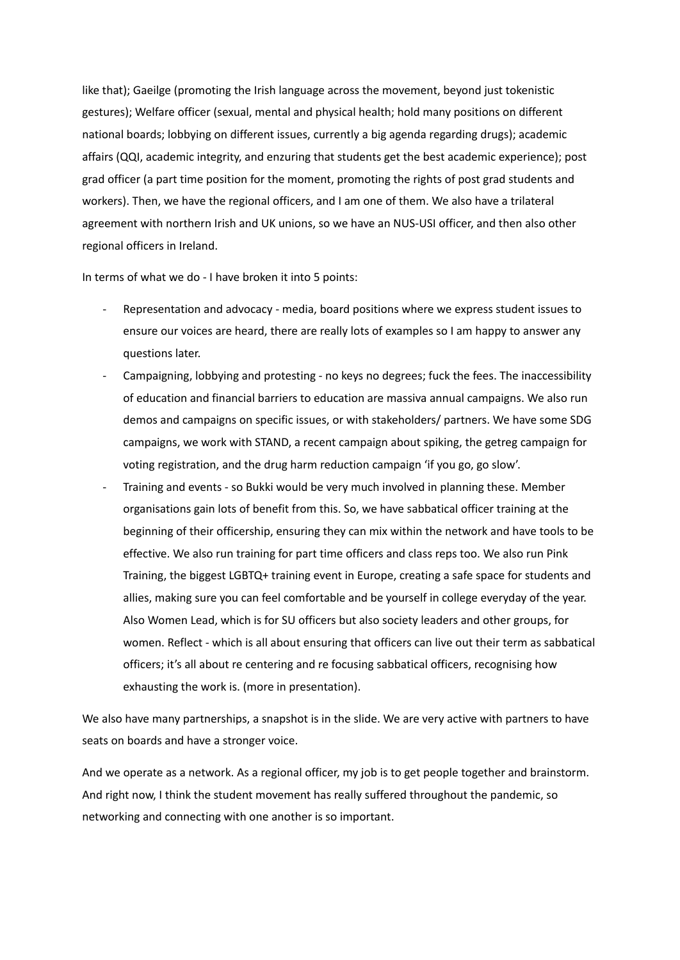like that); Gaeilge (promoting the Irish language across the movement, beyond just tokenistic gestures); Welfare officer (sexual, mental and physical health; hold many positions on different national boards; lobbying on different issues, currently a big agenda regarding drugs); academic affairs (QQI, academic integrity, and enzuring that students get the best academic experience); post grad officer (a part time position for the moment, promoting the rights of post grad students and workers). Then, we have the regional officers, and I am one of them. We also have a trilateral agreement with northern Irish and UK unions, so we have an NUS-USI officer, and then also other regional officers in Ireland.

In terms of what we do - I have broken it into 5 points:

- Representation and advocacy media, board positions where we express student issues to ensure our voices are heard, there are really lots of examples so I am happy to answer any questions later.
- Campaigning, lobbying and protesting no keys no degrees; fuck the fees. The inaccessibility of education and financial barriers to education are massiva annual campaigns. We also run demos and campaigns on specific issues, or with stakeholders/ partners. We have some SDG campaigns, we work with STAND, a recent campaign about spiking, the getreg campaign for voting registration, and the drug harm reduction campaign 'if you go, go slow'.
- Training and events so Bukki would be very much involved in planning these. Member organisations gain lots of benefit from this. So, we have sabbatical officer training at the beginning of their officership, ensuring they can mix within the network and have tools to be effective. We also run training for part time officers and class reps too. We also run Pink Training, the biggest LGBTQ+ training event in Europe, creating a safe space for students and allies, making sure you can feel comfortable and be yourself in college everyday of the year. Also Women Lead, which is for SU officers but also society leaders and other groups, for women. Reflect - which is all about ensuring that officers can live out their term as sabbatical officers; it's all about re centering and re focusing sabbatical officers, recognising how exhausting the work is. (more in presentation).

We also have many partnerships, a snapshot is in the slide. We are very active with partners to have seats on boards and have a stronger voice.

And we operate as a network. As a regional officer, my job is to get people together and brainstorm. And right now, I think the student movement has really suffered throughout the pandemic, so networking and connecting with one another is so important.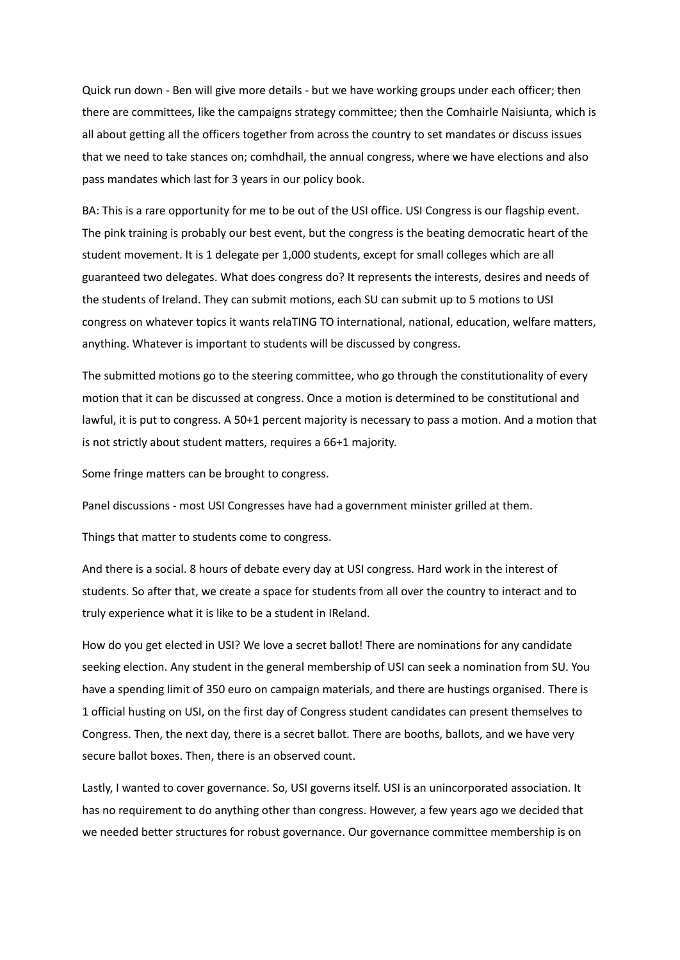Quick run down - Ben will give more details - but we have working groups under each officer; then there are committees, like the campaigns strategy committee; then the Comhairle Naisiunta, which is all about getting all the officers together from across the country to set mandates or discuss issues that we need to take stances on; comhdhail, the annual congress, where we have elections and also pass mandates which last for 3 years in our policy book.

BA: This is a rare opportunity for me to be out of the USI office. USI Congress is our flagship event. The pink training is probably our best event, but the congress is the beating democratic heart of the student movement. It is 1 delegate per 1,000 students, except for small colleges which are all guaranteed two delegates. What does congress do? It represents the interests, desires and needs of the students of Ireland. They can submit motions, each SU can submit up to 5 motions to USI congress on whatever topics it wants relaTING TO international, national, education, welfare matters, anything. Whatever is important to students will be discussed by congress.

The submitted motions go to the steering committee, who go through the constitutionality of every motion that it can be discussed at congress. Once a motion is determined to be constitutional and lawful, it is put to congress. A 50+1 percent majority is necessary to pass a motion. And a motion that is not strictly about student matters, requires a 66+1 majority.

Some fringe matters can be brought to congress.

Panel discussions - most USI Congresses have had a government minister grilled at them.

Things that matter to students come to congress.

And there is a social. 8 hours of debate every day at USI congress. Hard work in the interest of students. So after that, we create a space for students from all over the country to interact and to truly experience what it is like to be a student in IReland.

How do you get elected in USI? We love a secret ballot! There are nominations for any candidate seeking election. Any student in the general membership of USI can seek a nomination from SU. You have a spending limit of 350 euro on campaign materials, and there are hustings organised. There is 1 official husting on USI, on the first day of Congress student candidates can present themselves to Congress. Then, the next day, there is a secret ballot. There are booths, ballots, and we have very secure ballot boxes. Then, there is an observed count.

Lastly, I wanted to cover governance. So, USI governs itself. USI is an unincorporated association. It has no requirement to do anything other than congress. However, a few years ago we decided that we needed better structures for robust governance. Our governance committee membership is on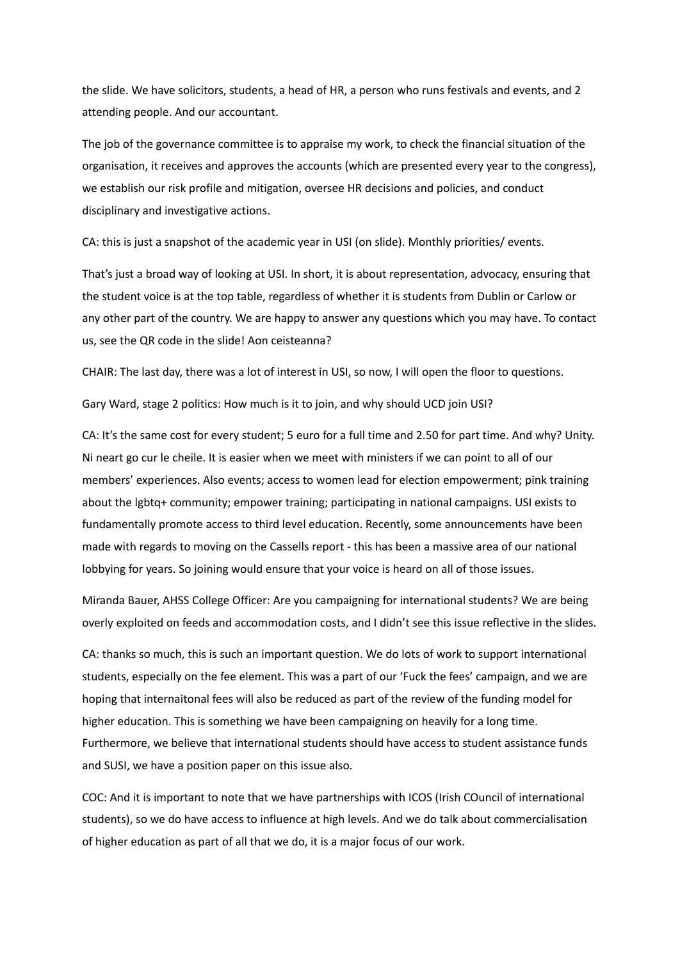the slide. We have solicitors, students, a head of HR, a person who runs festivals and events, and 2 attending people. And our accountant.

The job of the governance committee is to appraise my work, to check the financial situation of the organisation, it receives and approves the accounts (which are presented every year to the congress), we establish our risk profile and mitigation, oversee HR decisions and policies, and conduct disciplinary and investigative actions.

CA: this is just a snapshot of the academic year in USI (on slide). Monthly priorities/ events.

That's just a broad way of looking at USI. In short, it is about representation, advocacy, ensuring that the student voice is at the top table, regardless of whether it is students from Dublin or Carlow or any other part of the country. We are happy to answer any questions which you may have. To contact us, see the QR code in the slide! Aon ceisteanna?

CHAIR: The last day, there was a lot of interest in USI, so now, I will open the floor to questions.

Gary Ward, stage 2 politics: How much is it to join, and why should UCD join USI?

CA: It's the same cost for every student; 5 euro for a full time and 2.50 for part time. And why? Unity. Ni neart go cur le cheile. It is easier when we meet with ministers if we can point to all of our members' experiences. Also events; access to women lead for election empowerment; pink training about the lgbtq+ community; empower training; participating in national campaigns. USI exists to fundamentally promote access to third level education. Recently, some announcements have been made with regards to moving on the Cassells report - this has been a massive area of our national lobbying for years. So joining would ensure that your voice is heard on all of those issues.

Miranda Bauer, AHSS College Officer: Are you campaigning for international students? We are being overly exploited on feeds and accommodation costs, and I didn't see this issue reflective in the slides.

CA: thanks so much, this is such an important question. We do lots of work to support international students, especially on the fee element. This was a part of our 'Fuck the fees' campaign, and we are hoping that internaitonal fees will also be reduced as part of the review of the funding model for higher education. This is something we have been campaigning on heavily for a long time. Furthermore, we believe that international students should have access to student assistance funds and SUSI, we have a position paper on this issue also.

COC: And it is important to note that we have partnerships with ICOS (Irish COuncil of international students), so we do have access to influence at high levels. And we do talk about commercialisation of higher education as part of all that we do, it is a major focus of our work.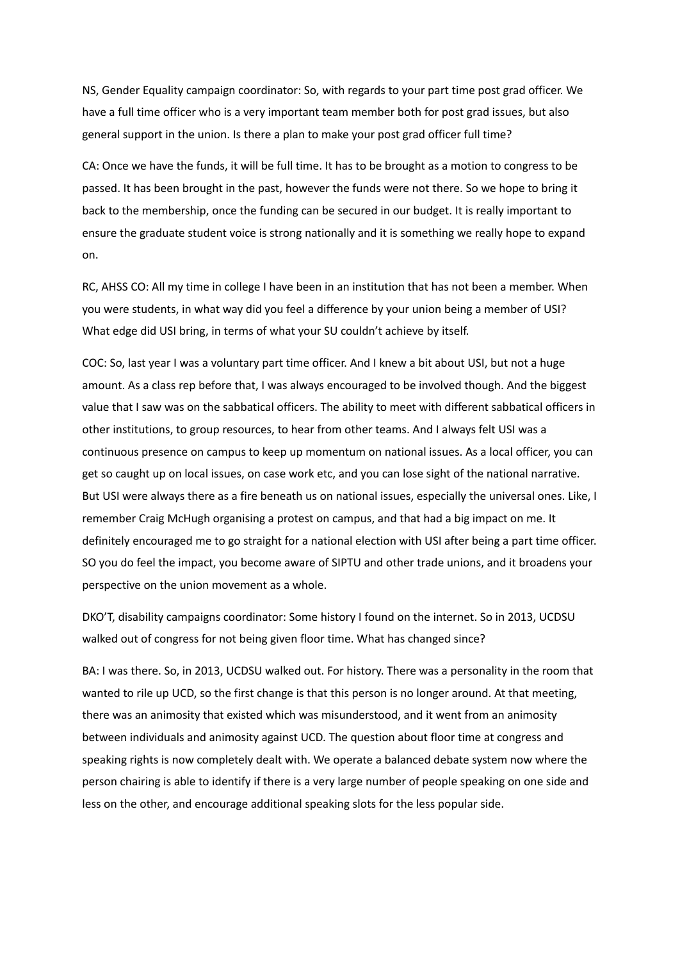NS, Gender Equality campaign coordinator: So, with regards to your part time post grad officer. We have a full time officer who is a very important team member both for post grad issues, but also general support in the union. Is there a plan to make your post grad officer full time?

CA: Once we have the funds, it will be full time. It has to be brought as a motion to congress to be passed. It has been brought in the past, however the funds were not there. So we hope to bring it back to the membership, once the funding can be secured in our budget. It is really important to ensure the graduate student voice is strong nationally and it is something we really hope to expand on.

RC, AHSS CO: All my time in college I have been in an institution that has not been a member. When you were students, in what way did you feel a difference by your union being a member of USI? What edge did USI bring, in terms of what your SU couldn't achieve by itself.

COC: So, last year I was a voluntary part time officer. And I knew a bit about USI, but not a huge amount. As a class rep before that, I was always encouraged to be involved though. And the biggest value that I saw was on the sabbatical officers. The ability to meet with different sabbatical officers in other institutions, to group resources, to hear from other teams. And I always felt USI was a continuous presence on campus to keep up momentum on national issues. As a local officer, you can get so caught up on local issues, on case work etc, and you can lose sight of the national narrative. But USI were always there as a fire beneath us on national issues, especially the universal ones. Like, I remember Craig McHugh organising a protest on campus, and that had a big impact on me. It definitely encouraged me to go straight for a national election with USI after being a part time officer. SO you do feel the impact, you become aware of SIPTU and other trade unions, and it broadens your perspective on the union movement as a whole.

DKO'T, disability campaigns coordinator: Some history I found on the internet. So in 2013, UCDSU walked out of congress for not being given floor time. What has changed since?

BA: I was there. So, in 2013, UCDSU walked out. For history. There was a personality in the room that wanted to rile up UCD, so the first change is that this person is no longer around. At that meeting, there was an animosity that existed which was misunderstood, and it went from an animosity between individuals and animosity against UCD. The question about floor time at congress and speaking rights is now completely dealt with. We operate a balanced debate system now where the person chairing is able to identify if there is a very large number of people speaking on one side and less on the other, and encourage additional speaking slots for the less popular side.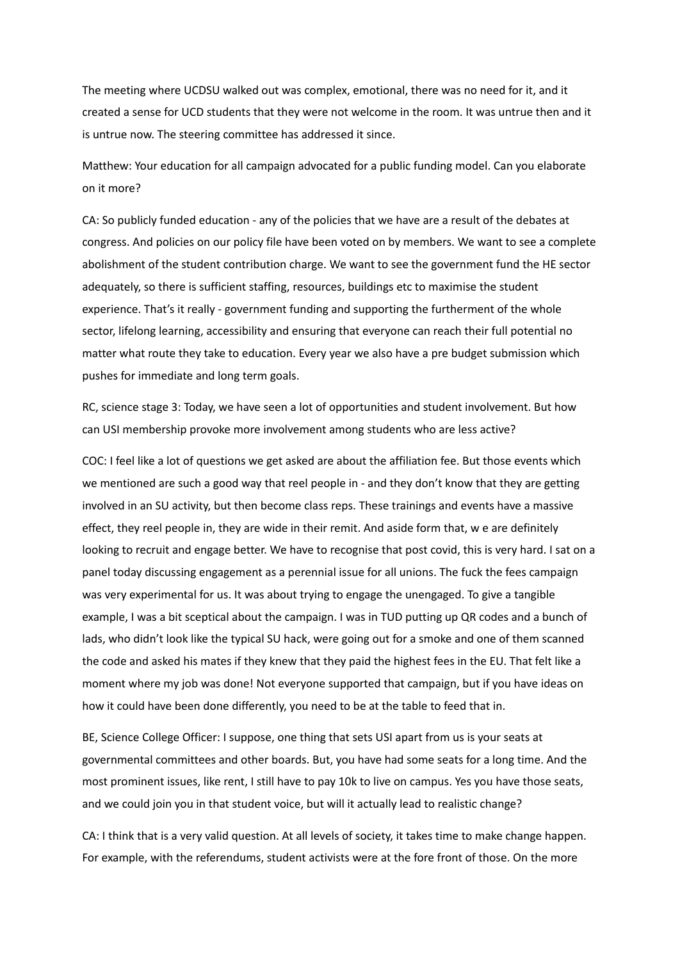The meeting where UCDSU walked out was complex, emotional, there was no need for it, and it created a sense for UCD students that they were not welcome in the room. It was untrue then and it is untrue now. The steering committee has addressed it since.

Matthew: Your education for all campaign advocated for a public funding model. Can you elaborate on it more?

CA: So publicly funded education - any of the policies that we have are a result of the debates at congress. And policies on our policy file have been voted on by members. We want to see a complete abolishment of the student contribution charge. We want to see the government fund the HE sector adequately, so there is sufficient staffing, resources, buildings etc to maximise the student experience. That's it really - government funding and supporting the furtherment of the whole sector, lifelong learning, accessibility and ensuring that everyone can reach their full potential no matter what route they take to education. Every year we also have a pre budget submission which pushes for immediate and long term goals.

RC, science stage 3: Today, we have seen a lot of opportunities and student involvement. But how can USI membership provoke more involvement among students who are less active?

COC: I feel like a lot of questions we get asked are about the affiliation fee. But those events which we mentioned are such a good way that reel people in - and they don't know that they are getting involved in an SU activity, but then become class reps. These trainings and events have a massive effect, they reel people in, they are wide in their remit. And aside form that, w e are definitely looking to recruit and engage better. We have to recognise that post covid, this is very hard. I sat on a panel today discussing engagement as a perennial issue for all unions. The fuck the fees campaign was very experimental for us. It was about trying to engage the unengaged. To give a tangible example, I was a bit sceptical about the campaign. I was in TUD putting up QR codes and a bunch of lads, who didn't look like the typical SU hack, were going out for a smoke and one of them scanned the code and asked his mates if they knew that they paid the highest fees in the EU. That felt like a moment where my job was done! Not everyone supported that campaign, but if you have ideas on how it could have been done differently, you need to be at the table to feed that in.

BE, Science College Officer: I suppose, one thing that sets USI apart from us is your seats at governmental committees and other boards. But, you have had some seats for a long time. And the most prominent issues, like rent, I still have to pay 10k to live on campus. Yes you have those seats, and we could join you in that student voice, but will it actually lead to realistic change?

CA: I think that is a very valid question. At all levels of society, it takes time to make change happen. For example, with the referendums, student activists were at the fore front of those. On the more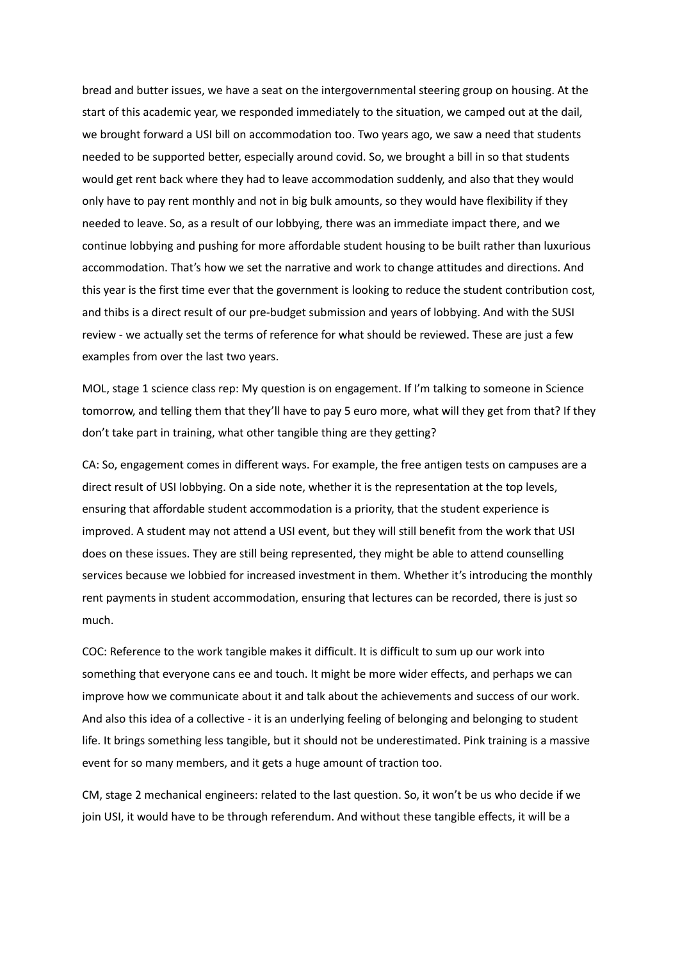bread and butter issues, we have a seat on the intergovernmental steering group on housing. At the start of this academic year, we responded immediately to the situation, we camped out at the dail, we brought forward a USI bill on accommodation too. Two years ago, we saw a need that students needed to be supported better, especially around covid. So, we brought a bill in so that students would get rent back where they had to leave accommodation suddenly, and also that they would only have to pay rent monthly and not in big bulk amounts, so they would have flexibility if they needed to leave. So, as a result of our lobbying, there was an immediate impact there, and we continue lobbying and pushing for more affordable student housing to be built rather than luxurious accommodation. That's how we set the narrative and work to change attitudes and directions. And this year is the first time ever that the government is looking to reduce the student contribution cost, and thibs is a direct result of our pre-budget submission and years of lobbying. And with the SUSI review - we actually set the terms of reference for what should be reviewed. These are just a few examples from over the last two years.

MOL, stage 1 science class rep: My question is on engagement. If I'm talking to someone in Science tomorrow, and telling them that they'll have to pay 5 euro more, what will they get from that? If they don't take part in training, what other tangible thing are they getting?

CA: So, engagement comes in different ways. For example, the free antigen tests on campuses are a direct result of USI lobbying. On a side note, whether it is the representation at the top levels, ensuring that affordable student accommodation is a priority, that the student experience is improved. A student may not attend a USI event, but they will still benefit from the work that USI does on these issues. They are still being represented, they might be able to attend counselling services because we lobbied for increased investment in them. Whether it's introducing the monthly rent payments in student accommodation, ensuring that lectures can be recorded, there is just so much.

COC: Reference to the work tangible makes it difficult. It is difficult to sum up our work into something that everyone cans ee and touch. It might be more wider effects, and perhaps we can improve how we communicate about it and talk about the achievements and success of our work. And also this idea of a collective - it is an underlying feeling of belonging and belonging to student life. It brings something less tangible, but it should not be underestimated. Pink training is a massive event for so many members, and it gets a huge amount of traction too.

CM, stage 2 mechanical engineers: related to the last question. So, it won't be us who decide if we join USI, it would have to be through referendum. And without these tangible effects, it will be a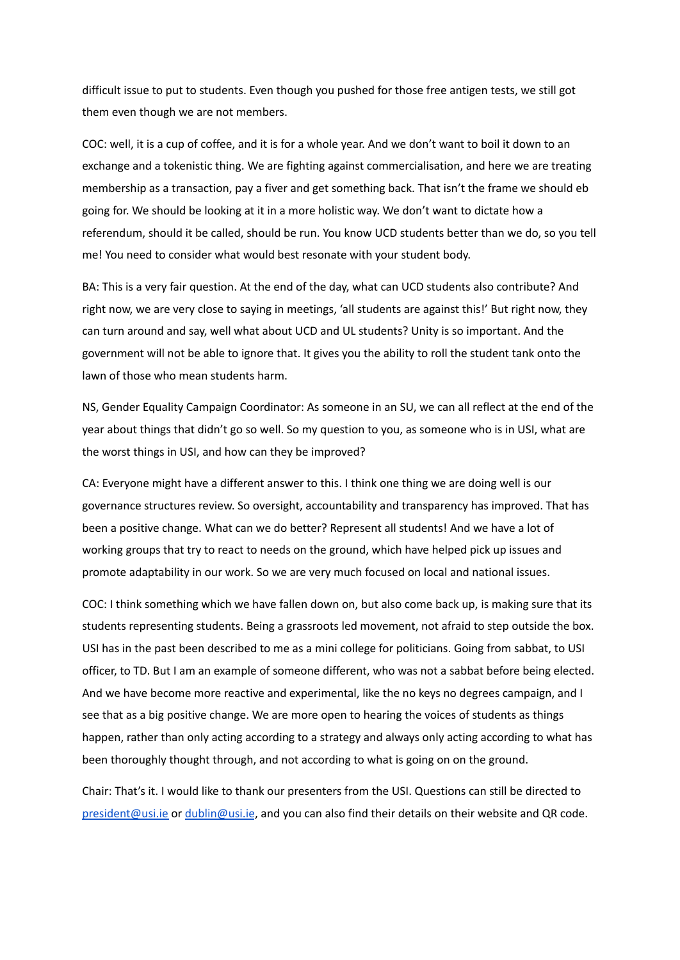difficult issue to put to students. Even though you pushed for those free antigen tests, we still got them even though we are not members.

COC: well, it is a cup of coffee, and it is for a whole year. And we don't want to boil it down to an exchange and a tokenistic thing. We are fighting against commercialisation, and here we are treating membership as a transaction, pay a fiver and get something back. That isn't the frame we should eb going for. We should be looking at it in a more holistic way. We don't want to dictate how a referendum, should it be called, should be run. You know UCD students better than we do, so you tell me! You need to consider what would best resonate with your student body.

BA: This is a very fair question. At the end of the day, what can UCD students also contribute? And right now, we are very close to saying in meetings, 'all students are against this!' But right now, they can turn around and say, well what about UCD and UL students? Unity is so important. And the government will not be able to ignore that. It gives you the ability to roll the student tank onto the lawn of those who mean students harm.

NS, Gender Equality Campaign Coordinator: As someone in an SU, we can all reflect at the end of the year about things that didn't go so well. So my question to you, as someone who is in USI, what are the worst things in USI, and how can they be improved?

CA: Everyone might have a different answer to this. I think one thing we are doing well is our governance structures review. So oversight, accountability and transparency has improved. That has been a positive change. What can we do better? Represent all students! And we have a lot of working groups that try to react to needs on the ground, which have helped pick up issues and promote adaptability in our work. So we are very much focused on local and national issues.

COC: I think something which we have fallen down on, but also come back up, is making sure that its students representing students. Being a grassroots led movement, not afraid to step outside the box. USI has in the past been described to me as a mini college for politicians. Going from sabbat, to USI officer, to TD. But I am an example of someone different, who was not a sabbat before being elected. And we have become more reactive and experimental, like the no keys no degrees campaign, and I see that as a big positive change. We are more open to hearing the voices of students as things happen, rather than only acting according to a strategy and always only acting according to what has been thoroughly thought through, and not according to what is going on on the ground.

Chair: That's it. I would like to thank our presenters from the USI. Questions can still be directed to [president@usi.ie](mailto:president@usi.ie) or [dublin@usi.ie](mailto:dublin@usi.ie), and you can also find their details on their website and QR code.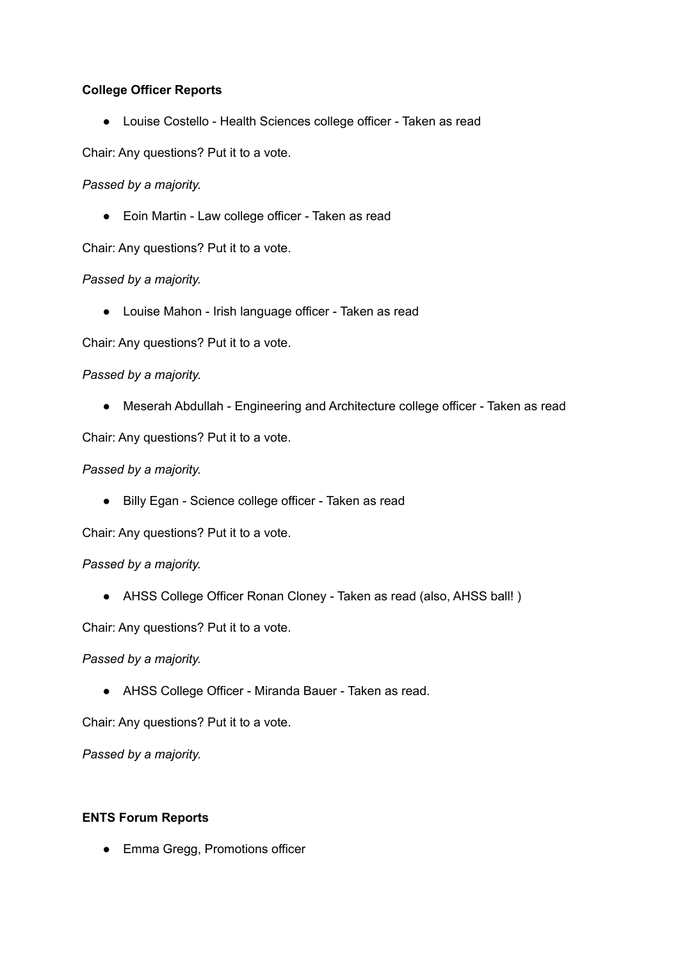# **College Officer Reports**

● Louise Costello - Health Sciences college officer - Taken as read

Chair: Any questions? Put it to a vote.

# *Passed by a majority.*

● Eoin Martin - Law college officer - Taken as read

Chair: Any questions? Put it to a vote.

# *Passed by a majority.*

● Louise Mahon - Irish language officer - Taken as read

Chair: Any questions? Put it to a vote.

# *Passed by a majority.*

● Meserah Abdullah - Engineering and Architecture college officer - Taken as read

Chair: Any questions? Put it to a vote.

## *Passed by a majority.*

● Billy Egan - Science college officer - Taken as read

Chair: Any questions? Put it to a vote.

## *Passed by a majority.*

● AHSS College Officer Ronan Cloney - Taken as read (also, AHSS ball! )

Chair: Any questions? Put it to a vote.

*Passed by a majority.*

● AHSS College Officer - Miranda Bauer - Taken as read.

Chair: Any questions? Put it to a vote.

*Passed by a majority.*

## **ENTS Forum Reports**

● Emma Gregg, Promotions officer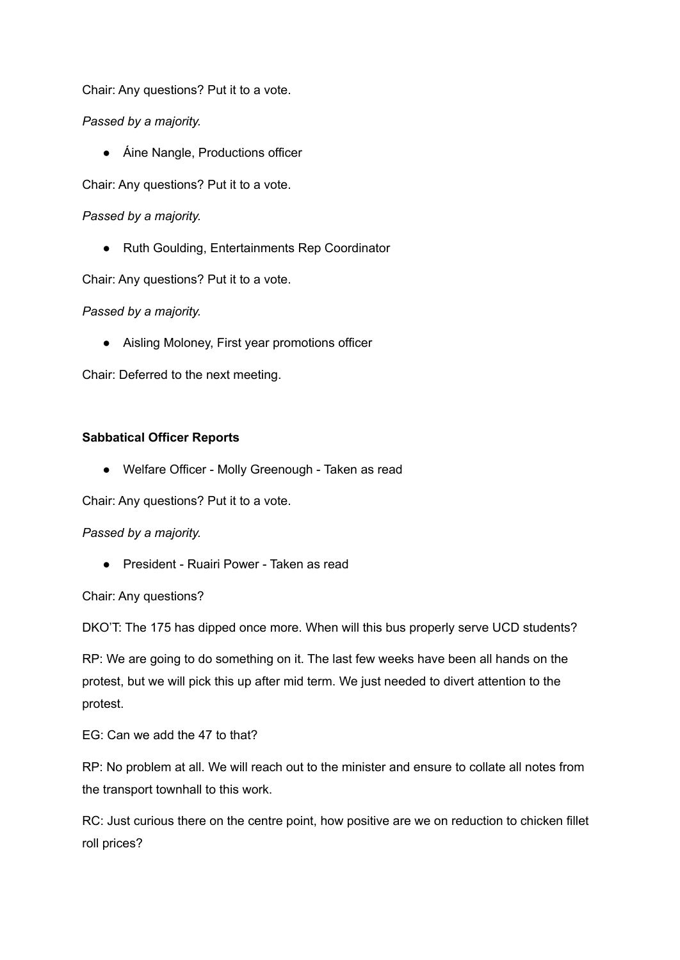Chair: Any questions? Put it to a vote.

*Passed by a majority.*

● Áine Nangle, Productions officer

Chair: Any questions? Put it to a vote.

*Passed by a majority.*

● Ruth Goulding, Entertainments Rep Coordinator

Chair: Any questions? Put it to a vote.

*Passed by a majority.*

● Aisling Moloney, First year promotions officer

Chair: Deferred to the next meeting.

# **Sabbatical Officer Reports**

● Welfare Officer - Molly Greenough - Taken as read

Chair: Any questions? Put it to a vote.

## *Passed by a majority.*

● President - Ruairi Power - Taken as read

Chair: Any questions?

DKO'T: The 175 has dipped once more. When will this bus properly serve UCD students?

RP: We are going to do something on it. The last few weeks have been all hands on the protest, but we will pick this up after mid term. We just needed to divert attention to the protest.

EG: Can we add the 47 to that?

RP: No problem at all. We will reach out to the minister and ensure to collate all notes from the transport townhall to this work.

RC: Just curious there on the centre point, how positive are we on reduction to chicken fillet roll prices?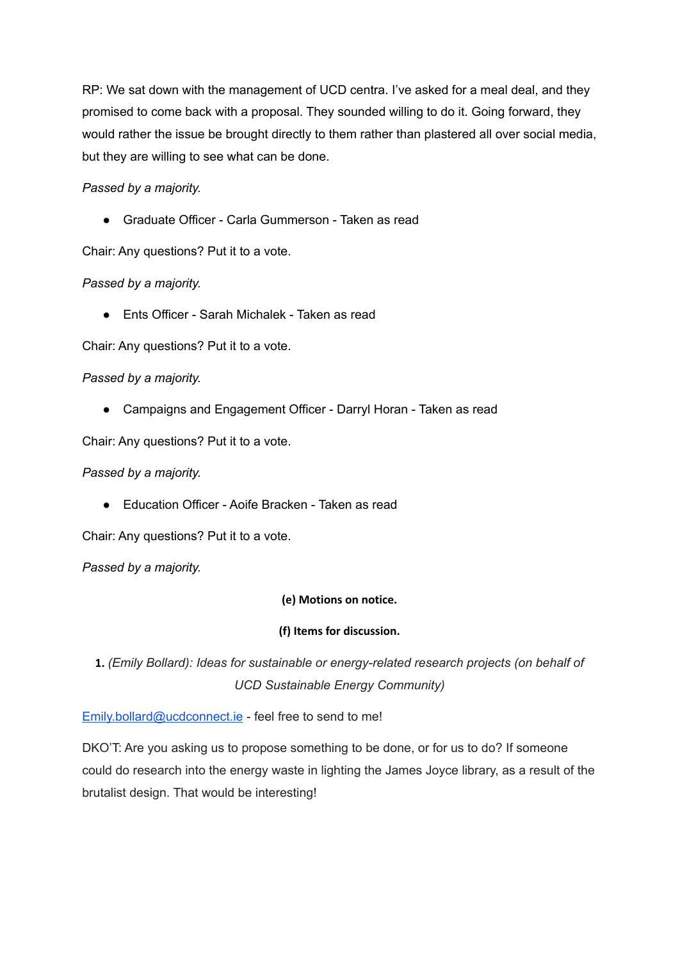RP: We sat down with the management of UCD centra. I've asked for a meal deal, and they promised to come back with a proposal. They sounded willing to do it. Going forward, they would rather the issue be brought directly to them rather than plastered all over social media, but they are willing to see what can be done.

# *Passed by a majority.*

● Graduate Officer - Carla Gummerson - Taken as read

Chair: Any questions? Put it to a vote.

# *Passed by a majority.*

● Fnts Officer - Sarah Michalek - Taken as read

Chair: Any questions? Put it to a vote.

# *Passed by a majority.*

● Campaigns and Engagement Officer - Darryl Horan - Taken as read

Chair: Any questions? Put it to a vote.

# *Passed by a majority.*

● Education Officer - Aoife Bracken - Taken as read

Chair: Any questions? Put it to a vote.

*Passed by a majority.*

## **(e) Motions on notice.**

## **(f) Items for discussion.**

**1.** *(Emily Bollard): Ideas for sustainable or energy-related research projects (on behalf of UCD Sustainable Energy Community)*

[Emily.bollard@ucdconnect.ie](mailto:Emily.bollard@ucdconnect.ie) - feel free to send to me!

DKO'T: Are you asking us to propose something to be done, or for us to do? If someone could do research into the energy waste in lighting the James Joyce library, as a result of the brutalist design. That would be interesting!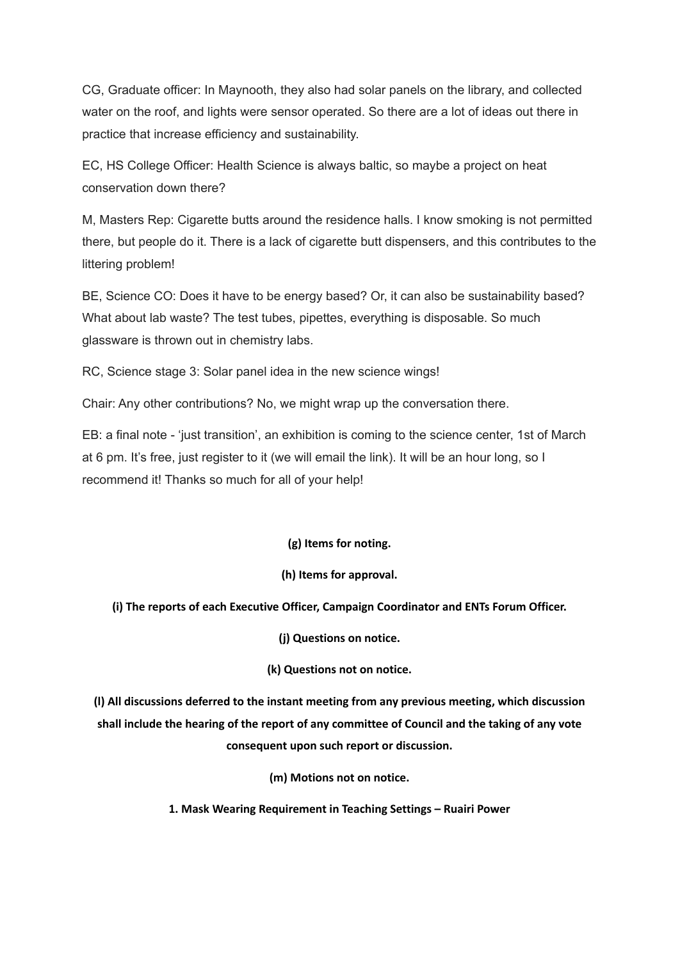CG, Graduate officer: In Maynooth, they also had solar panels on the library, and collected water on the roof, and lights were sensor operated. So there are a lot of ideas out there in practice that increase efficiency and sustainability.

EC, HS College Officer: Health Science is always baltic, so maybe a project on heat conservation down there?

M, Masters Rep: Cigarette butts around the residence halls. I know smoking is not permitted there, but people do it. There is a lack of cigarette butt dispensers, and this contributes to the littering problem!

BE, Science CO: Does it have to be energy based? Or, it can also be sustainability based? What about lab waste? The test tubes, pipettes, everything is disposable. So much glassware is thrown out in chemistry labs.

RC, Science stage 3: Solar panel idea in the new science wings!

Chair: Any other contributions? No, we might wrap up the conversation there.

EB: a final note - 'just transition', an exhibition is coming to the science center, 1st of March at 6 pm. It's free, just register to it (we will email the link). It will be an hour long, so I recommend it! Thanks so much for all of your help!

**(g) Items for noting.**

## **(h) Items for approval.**

### **(i) The reports of each Executive Officer, Campaign Coordinator and ENTs Forum Officer.**

**(j) Questions on notice.**

### **(k) Questions not on notice.**

**(l) All discussions deferred to the instant meeting from any previous meeting, which discussion shall include the hearing of the report of any committee of Council and the taking of any vote consequent upon such report or discussion.**

**(m) Motions not on notice.**

**1. Mask Wearing Requirement in Teaching Settings – Ruairi Power**